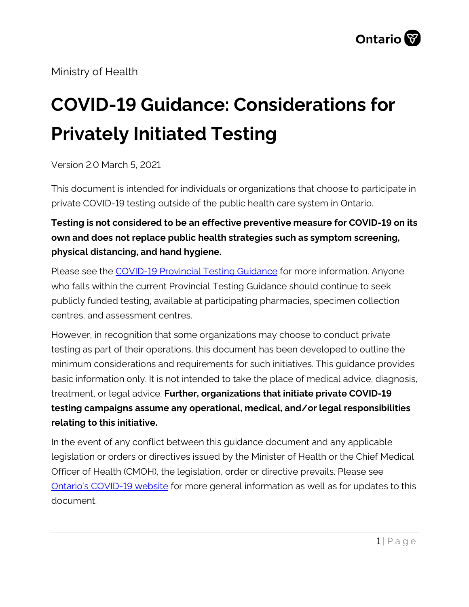Ministry of Health

# **COVID-19 Guidance: Considerations for Privately Initiated Testing**

Version 2.0 March 5, 2021

This document is intended for individuals or organizations that choose to participate in private COVID-19 testing outside of the public health care system in Ontario.

#### **Testing is not considered to be an effective preventive measure for COVID-19 on its own and does not replace public health strategies such as symptom screening, physical distancing, and hand hygiene.**

Please see the [COVID-19 Provincial Testing Guidance](http://www.health.gov.on.ca/en/pro/programs/publichealth/coronavirus/docs/2019_testing_guidance.pdf) for more information. Anyone who falls within the current Provincial Testing Guidance should continue to seek publicly funded testing, available at participating pharmacies, specimen collection centres, and assessment centres.

However, in recognition that some organizations may choose to conduct private testing as part of their operations, this document has been developed to outline the minimum considerations and requirements for such initiatives. This guidance provides basic information only. It is not intended to take the place of medical advice, diagnosis, treatment, or legal advice. **Further, organizations that initiate private COVID-19 testing campaigns assume any operational, medical, and/or legal responsibilities relating to this initiative.**

In the event of any conflict between this guidance document and any applicable legislation or orders or directives issued by the Minister of Health or the Chief Medical Officer of Health (CMOH), the legislation, order or directive prevails. Please see [Ontario's COVID-19 website](http://www.health.gov.on.ca/en/pro/programs/publichealth/coronavirus/2019_guidance.aspx) for more general information as well as for updates to this document.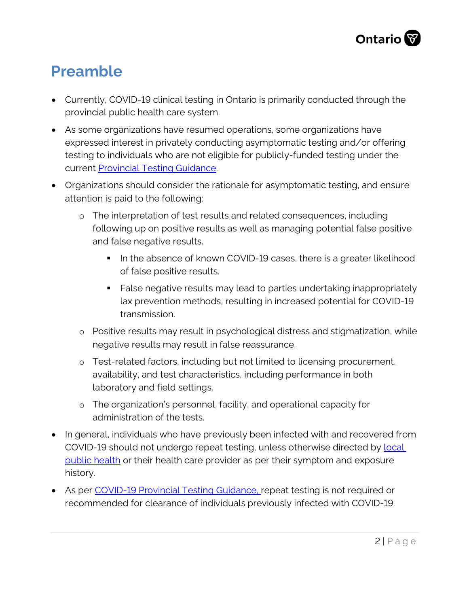

#### **Preamble**

- Currently, COVID-19 clinical testing in Ontario is primarily conducted through the provincial public health care system.
- As some organizations have resumed operations, some organizations have expressed interest in privately conducting asymptomatic testing and/or offering testing to individuals who are not eligible for publicly-funded testing under the current [Provincial Testing Guidance.](http://www.health.gov.on.ca/en/pro/programs/publichealth/coronavirus/docs/2019_testing_guidance.pdf)
- Organizations should consider the rationale for asymptomatic testing, and ensure attention is paid to the following:
	- o The interpretation of test results and related consequences, including following up on positive results as well as managing potential false positive and false negative results.
		- In the absence of known COVID-19 cases, there is a greater likelihood of false positive results.
		- False negative results may lead to parties undertaking inappropriately lax prevention methods, resulting in increased potential for COVID-19 transmission.
	- o Positive results may result in psychological distress and stigmatization, while negative results may result in false reassurance.
	- o Test-related factors, including but not limited to licensing procurement, availability, and test characteristics, including performance in both laboratory and field settings.
	- o The organization's personnel, facility, and operational capacity for administration of the tests.
- In general, individuals who have previously been infected with and recovered from COVID-19 should not undergo repeat testing, unless otherwise directed by [local](http://www.health.gov.on.ca/en/common/system/services/phu/locations.aspx)  [public health](http://www.health.gov.on.ca/en/common/system/services/phu/locations.aspx) or their health care provider as per their symptom and exposure history.
- As per [COVID-19 Provincial Testing Guidance,](http://www.health.gov.on.ca/en/pro/programs/publichealth/coronavirus/docs/2019_testing_guidance.pdf) repeat testing is not required or recommended for clearance of individuals previously infected with COVID-19.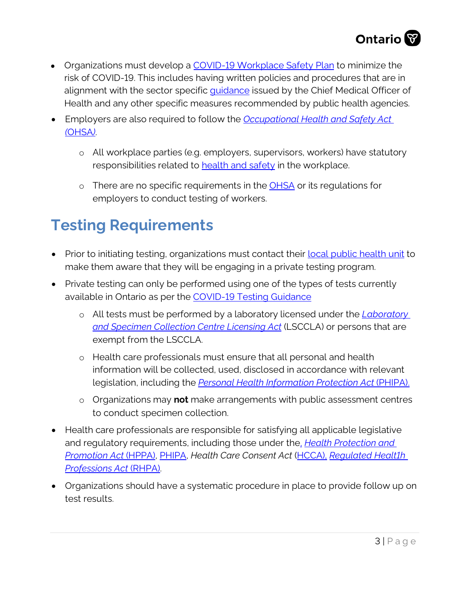

- Organizations must develop a COVID-19 [Workplace Safety Plan](https://www.ontario.ca/page/develop-your-covid-19-workplace-safety-plan) to minimize the risk of COVID-19. This includes having written policies and procedures that are in alignment with the sector specific **quidance** issued by the Chief Medical Officer of Health and any other specific measures recommended by public health agencies.
- Employers are also required to follow the *[Occupational Health and Safety Act](https://www.ontario.ca/laws/statute/90o01) (*[OHSA](https://www.ontario.ca/laws/statute/90o01)*)*.
	- o All workplace parties (e.g. employers, supervisors, workers) have statutory responsibilities related to [health and safety](https://www.ontario.ca/page/resources-prevent-covid-19-workplace#section-1) in the workplace.
	- o There are no specific requirements in the [OHSA](https://www.ontario.ca/laws/statute/90o01) or its regulations for employers to conduct testing of workers.

### **Testing Requirements**

- Prior to initiating testing, organizations must contact their [local public health unit](http://www.health.gov.on.ca/en/common/system/services/phu/locations.aspx) to make them aware that they will be engaging in a private testing program.
- Private testing can only be performed using one of the types of tests currently available in Ontario as per the [COVID-19 Testing Guidance](http://www.health.gov.on.ca/en/pro/programs/publichealth/coronavirus/docs/2019_testing_guidance.pdf)
	- o All tests must be performed by a laboratory licensed under the *[Laboratory](https://www.ontario.ca/laws/statute/90l01) [and Specimen Collection Centre Licensing Act](https://www.ontario.ca/laws/statute/90l01)* (LSCCLA) or persons that are exempt from the LSCCLA.
	- o Health care professionals must ensure that all personal and health information will be collected, used, disclosed in accordance with relevant legislation, including the *[Personal Health Information Protection Act](https://www.ontario.ca/laws/statute/04p03)* (PHIPA).
	- o Organizations may **not** make arrangements with public assessment centres to conduct specimen collection.
- Health care professionals are responsible for satisfying all applicable legislative and regulatory requirements, including those under the, *[Health Protection and](https://www.ontario.ca/laws/statute/90h07) [Promotion Act](https://www.ontario.ca/laws/statute/90h07)* (HPPA), [PHIPA,](https://www.ontario.ca/laws/statute/04p03) *Health Care Consent Act* [\(HCCA\)](https://www.ontario.ca/laws/statute/96h02), *[Regulated Healt1h](https://www.ontario.ca/laws/statute/91r18) [Professions Act](https://www.ontario.ca/laws/statute/91r18)* (RHPA).
- Organizations should have a systematic procedure in place to provide follow up on test results.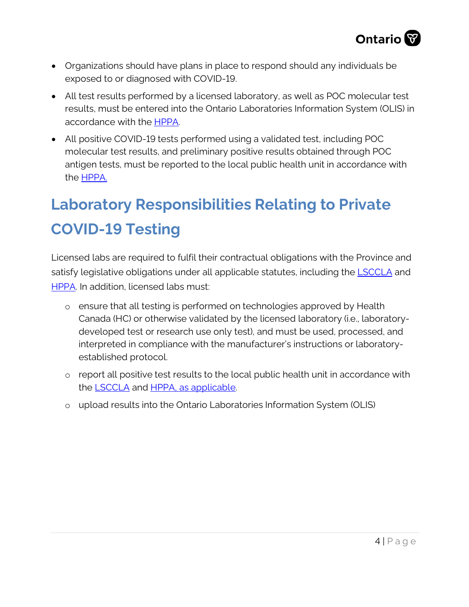

- Organizations should have plans in place to respond should any individuals be exposed to or diagnosed with COVID-19.
- All test results performed by a licensed laboratory, as well as POC molecular test results, must be entered into the Ontario Laboratories Information System (OLIS) in accordance with the [HPPA.](https://www.ontario.ca/laws/statute/90h07)
- All positive COVID-19 tests performed using a validated test, including POC molecular test results, and preliminary positive results obtained through POC antigen tests, must be reported to the local public health unit in accordance with the [HPPA.](https://www.ontario.ca/laws/statute/90h07)

## **Laboratory Responsibilities Relating to Private COVID-19 Testing**

Licensed labs are required to fulfil their contractual obligations with the Province and satisfy legislative obligations under all applicable statutes, including the **LSCCLA** and [HPPA.](https://www.ontario.ca/laws/statute/90h07) In addition, licensed labs must:

- o ensure that all testing is performed on technologies approved by Health Canada (HC) or otherwise validated by the licensed laboratory (i.e., laboratorydeveloped test or research use only test), and must be used, processed, and interpreted in compliance with the manufacturer's instructions or laboratoryestablished protocol.
- o report all positive test results to the local public health unit in accordance with the **LSCCLA** and **HPPA**, as applicable.
- o upload results into the Ontario Laboratories Information System (OLIS)